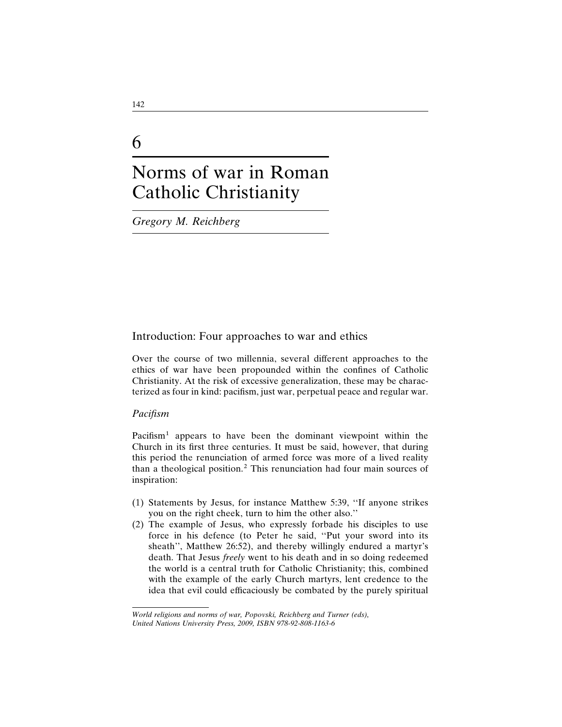# Norms of war in Roman Catholic Christianity

Gregory M. Reichberg

## Introduction: Four approaches to war and ethics

Over the course of two millennia, several different approaches to the ethics of war have been propounded within the confines of Catholic Christianity. At the risk of excessive generalization, these may be characterized as four in kind: pacifism, just war, perpetual peace and regular war.

### Pacifism

Pacifism<sup>1</sup> appears to have been the dominant viewpoint within the Church in its first three centuries. It must be said, however, that during this period the renunciation of armed force was more of a lived reality than a theological position.2 This renunciation had four main sources of inspiration:

- (1) Statements by Jesus, for instance Matthew 5:39, ''If anyone strikes you on the right cheek, turn to him the other also.''
- (2) The example of Jesus, who expressly forbade his disciples to use force in his defence (to Peter he said, ''Put your sword into its sheath'', Matthew 26:52), and thereby willingly endured a martyr's death. That Jesus freely went to his death and in so doing redeemed the world is a central truth for Catholic Christianity; this, combined with the example of the early Church martyrs, lent credence to the idea that evil could efficaciously be combated by the purely spiritual

6

World religions and norms of war, Popovski, Reichberg and Turner (eds), United Nations University Press, 2009, ISBN 978-92-808-1163-6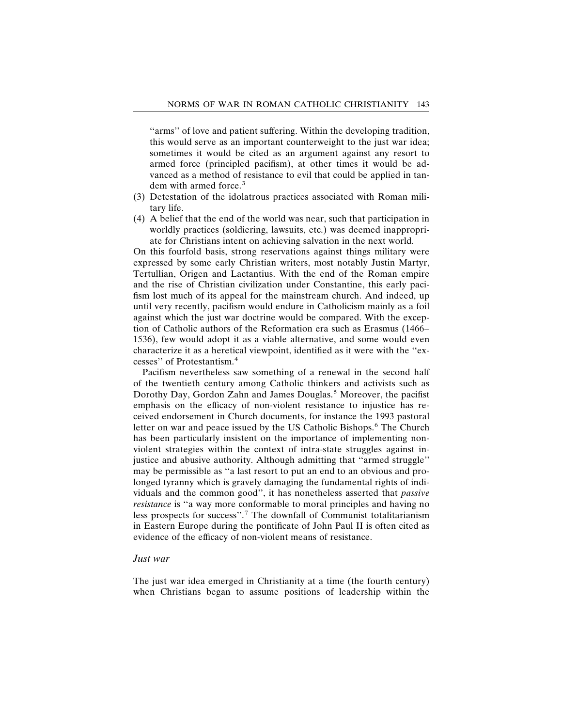''arms'' of love and patient suffering. Within the developing tradition, this would serve as an important counterweight to the just war idea; sometimes it would be cited as an argument against any resort to armed force (principled pacifism), at other times it would be advanced as a method of resistance to evil that could be applied in tandem with armed force.<sup>3</sup>

- (3) Detestation of the idolatrous practices associated with Roman military life.
- (4) A belief that the end of the world was near, such that participation in worldly practices (soldiering, lawsuits, etc.) was deemed inappropriate for Christians intent on achieving salvation in the next world.

On this fourfold basis, strong reservations against things military were expressed by some early Christian writers, most notably Justin Martyr, Tertullian, Origen and Lactantius. With the end of the Roman empire and the rise of Christian civilization under Constantine, this early pacifism lost much of its appeal for the mainstream church. And indeed, up until very recently, pacifism would endure in Catholicism mainly as a foil against which the just war doctrine would be compared. With the exception of Catholic authors of the Reformation era such as Erasmus (1466– 1536), few would adopt it as a viable alternative, and some would even characterize it as a heretical viewpoint, identified as it were with the ''excesses'' of Protestantism.4

Pacifism nevertheless saw something of a renewal in the second half of the twentieth century among Catholic thinkers and activists such as Dorothy Day, Gordon Zahn and James Douglas.<sup>5</sup> Moreover, the pacifist emphasis on the efficacy of non-violent resistance to injustice has received endorsement in Church documents, for instance the 1993 pastoral letter on war and peace issued by the US Catholic Bishops.<sup>6</sup> The Church has been particularly insistent on the importance of implementing nonviolent strategies within the context of intra-state struggles against injustice and abusive authority. Although admitting that ''armed struggle'' may be permissible as ''a last resort to put an end to an obvious and prolonged tyranny which is gravely damaging the fundamental rights of individuals and the common good'', it has nonetheless asserted that passive resistance is ''a way more conformable to moral principles and having no less prospects for success''.7 The downfall of Communist totalitarianism in Eastern Europe during the pontificate of John Paul II is often cited as evidence of the efficacy of non-violent means of resistance.

#### Just war

The just war idea emerged in Christianity at a time (the fourth century) when Christians began to assume positions of leadership within the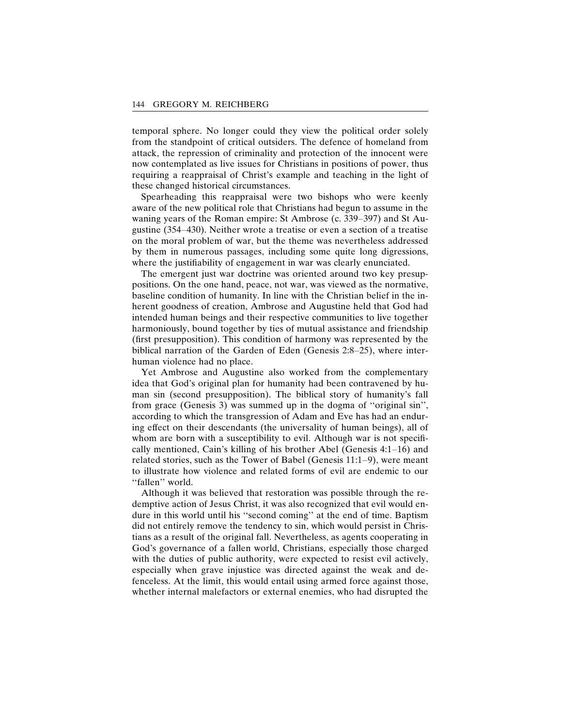temporal sphere. No longer could they view the political order solely from the standpoint of critical outsiders. The defence of homeland from attack, the repression of criminality and protection of the innocent were now contemplated as live issues for Christians in positions of power, thus requiring a reappraisal of Christ's example and teaching in the light of these changed historical circumstances.

Spearheading this reappraisal were two bishops who were keenly aware of the new political role that Christians had begun to assume in the waning years of the Roman empire: St Ambrose (c. 339–397) and St Augustine (354–430). Neither wrote a treatise or even a section of a treatise on the moral problem of war, but the theme was nevertheless addressed by them in numerous passages, including some quite long digressions, where the justifiability of engagement in war was clearly enunciated.

The emergent just war doctrine was oriented around two key presuppositions. On the one hand, peace, not war, was viewed as the normative, baseline condition of humanity. In line with the Christian belief in the inherent goodness of creation, Ambrose and Augustine held that God had intended human beings and their respective communities to live together harmoniously, bound together by ties of mutual assistance and friendship (first presupposition). This condition of harmony was represented by the biblical narration of the Garden of Eden (Genesis 2:8–25), where interhuman violence had no place.

Yet Ambrose and Augustine also worked from the complementary idea that God's original plan for humanity had been contravened by human sin (second presupposition). The biblical story of humanity's fall from grace (Genesis 3) was summed up in the dogma of ''original sin'', according to which the transgression of Adam and Eve has had an enduring effect on their descendants (the universality of human beings), all of whom are born with a susceptibility to evil. Although war is not specifically mentioned, Cain's killing of his brother Abel (Genesis 4:1–16) and related stories, such as the Tower of Babel (Genesis 11:1–9), were meant to illustrate how violence and related forms of evil are endemic to our "fallen" world.

Although it was believed that restoration was possible through the redemptive action of Jesus Christ, it was also recognized that evil would endure in this world until his ''second coming'' at the end of time. Baptism did not entirely remove the tendency to sin, which would persist in Christians as a result of the original fall. Nevertheless, as agents cooperating in God's governance of a fallen world, Christians, especially those charged with the duties of public authority, were expected to resist evil actively, especially when grave injustice was directed against the weak and defenceless. At the limit, this would entail using armed force against those, whether internal malefactors or external enemies, who had disrupted the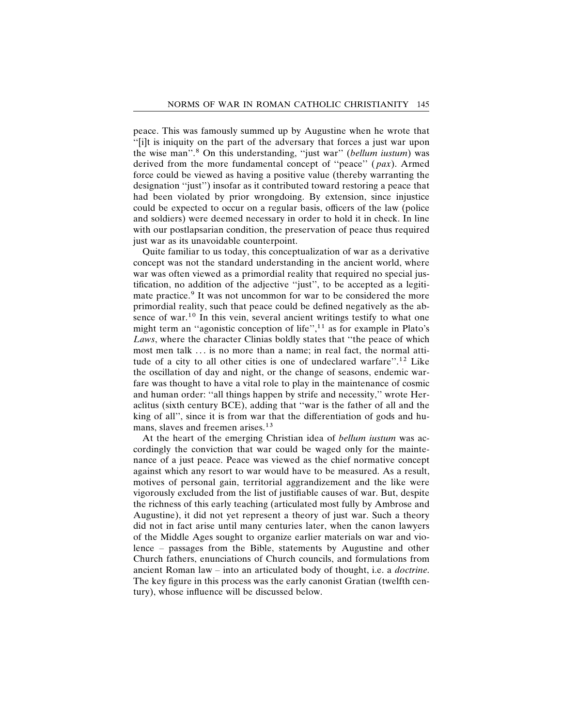peace. This was famously summed up by Augustine when he wrote that ''[i]t is iniquity on the part of the adversary that forces a just war upon the wise man".<sup>8</sup> On this understanding, "just war" (bellum iustum) was derived from the more fundamental concept of "peace" (*pax*). Armed force could be viewed as having a positive value (thereby warranting the designation ''just'') insofar as it contributed toward restoring a peace that had been violated by prior wrongdoing. By extension, since injustice could be expected to occur on a regular basis, officers of the law (police and soldiers) were deemed necessary in order to hold it in check. In line with our postlapsarian condition, the preservation of peace thus required just war as its unavoidable counterpoint.

Quite familiar to us today, this conceptualization of war as a derivative concept was not the standard understanding in the ancient world, where war was often viewed as a primordial reality that required no special justification, no addition of the adjective ''just'', to be accepted as a legitimate practice.<sup>9</sup> It was not uncommon for war to be considered the more primordial reality, such that peace could be defined negatively as the absence of war.<sup>10</sup> In this vein, several ancient writings testify to what one might term an "agonistic conception of life",<sup>11</sup> as for example in Plato's Laws, where the character Clinias boldly states that ''the peace of which most men talk ... is no more than a name; in real fact, the normal attitude of a city to all other cities is one of undeclared warfare''.<sup>12</sup> Like the oscillation of day and night, or the change of seasons, endemic warfare was thought to have a vital role to play in the maintenance of cosmic and human order: ''all things happen by strife and necessity,'' wrote Heraclitus (sixth century BCE), adding that ''war is the father of all and the king of all'', since it is from war that the differentiation of gods and humans, slaves and freemen arises.<sup>13</sup>

At the heart of the emerging Christian idea of bellum iustum was accordingly the conviction that war could be waged only for the maintenance of a just peace. Peace was viewed as the chief normative concept against which any resort to war would have to be measured. As a result, motives of personal gain, territorial aggrandizement and the like were vigorously excluded from the list of justifiable causes of war. But, despite the richness of this early teaching (articulated most fully by Ambrose and Augustine), it did not yet represent a theory of just war. Such a theory did not in fact arise until many centuries later, when the canon lawyers of the Middle Ages sought to organize earlier materials on war and violence – passages from the Bible, statements by Augustine and other Church fathers, enunciations of Church councils, and formulations from ancient Roman law – into an articulated body of thought, i.e. a doctrine. The key figure in this process was the early canonist Gratian (twelfth century), whose influence will be discussed below.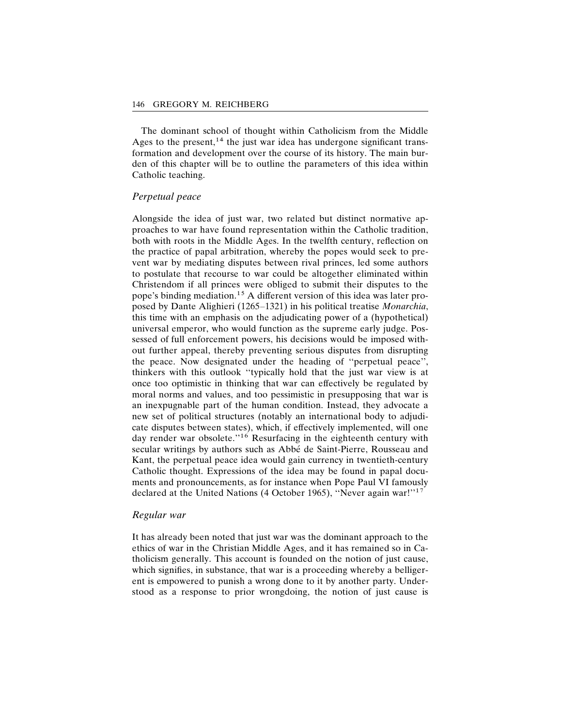The dominant school of thought within Catholicism from the Middle Ages to the present,<sup>14</sup> the just war idea has undergone significant transformation and development over the course of its history. The main burden of this chapter will be to outline the parameters of this idea within Catholic teaching.

#### Perpetual peace

Alongside the idea of just war, two related but distinct normative approaches to war have found representation within the Catholic tradition, both with roots in the Middle Ages. In the twelfth century, reflection on the practice of papal arbitration, whereby the popes would seek to prevent war by mediating disputes between rival princes, led some authors to postulate that recourse to war could be altogether eliminated within Christendom if all princes were obliged to submit their disputes to the pope's binding mediation.15 A different version of this idea was later proposed by Dante Alighieri (1265–1321) in his political treatise Monarchia, this time with an emphasis on the adjudicating power of a (hypothetical) universal emperor, who would function as the supreme early judge. Possessed of full enforcement powers, his decisions would be imposed without further appeal, thereby preventing serious disputes from disrupting the peace. Now designated under the heading of ''perpetual peace'', thinkers with this outlook ''typically hold that the just war view is at once too optimistic in thinking that war can effectively be regulated by moral norms and values, and too pessimistic in presupposing that war is an inexpugnable part of the human condition. Instead, they advocate a new set of political structures (notably an international body to adjudicate disputes between states), which, if effectively implemented, will one day render war obsolete.''16 Resurfacing in the eighteenth century with secular writings by authors such as Abbé de Saint-Pierre, Rousseau and Kant, the perpetual peace idea would gain currency in twentieth-century Catholic thought. Expressions of the idea may be found in papal documents and pronouncements, as for instance when Pope Paul VI famously declared at the United Nations (4 October 1965), ''Never again war!''17

#### Regular war

It has already been noted that just war was the dominant approach to the ethics of war in the Christian Middle Ages, and it has remained so in Catholicism generally. This account is founded on the notion of just cause, which signifies, in substance, that war is a proceeding whereby a belligerent is empowered to punish a wrong done to it by another party. Understood as a response to prior wrongdoing, the notion of just cause is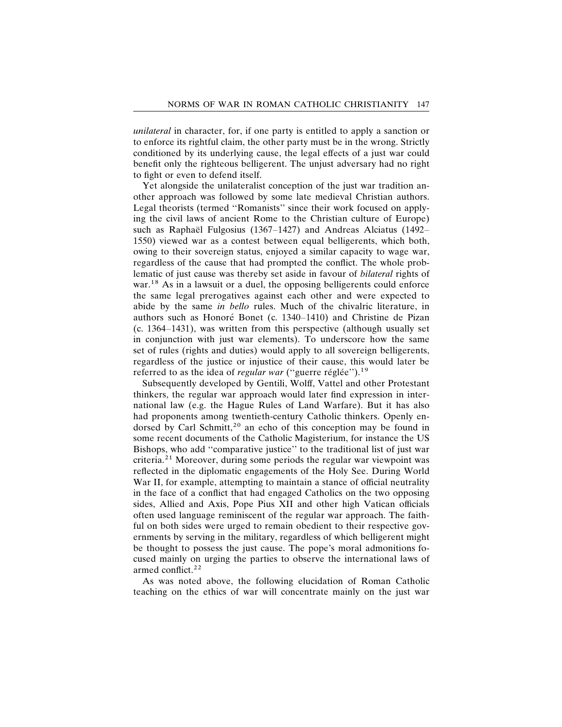unilateral in character, for, if one party is entitled to apply a sanction or to enforce its rightful claim, the other party must be in the wrong. Strictly conditioned by its underlying cause, the legal effects of a just war could benefit only the righteous belligerent. The unjust adversary had no right to fight or even to defend itself.

Yet alongside the unilateralist conception of the just war tradition another approach was followed by some late medieval Christian authors. Legal theorists (termed ''Romanists'' since their work focused on applying the civil laws of ancient Rome to the Christian culture of Europe) such as Raphaël Fulgosius (1367–1427) and Andreas Alciatus (1492– 1550) viewed war as a contest between equal belligerents, which both, owing to their sovereign status, enjoyed a similar capacity to wage war, regardless of the cause that had prompted the conflict. The whole problematic of just cause was thereby set aside in favour of bilateral rights of war.<sup>18</sup> As in a lawsuit or a duel, the opposing belligerents could enforce the same legal prerogatives against each other and were expected to abide by the same in bello rules. Much of the chivalric literature, in authors such as Honoré Bonet (c. 1340–1410) and Christine de Pizan (c. 1364–1431), was written from this perspective (although usually set in conjunction with just war elements). To underscore how the same set of rules (rights and duties) would apply to all sovereign belligerents, regardless of the justice or injustice of their cause, this would later be referred to as the idea of regular war ("guerre réglée").<sup>19</sup>

Subsequently developed by Gentili, Wolff, Vattel and other Protestant thinkers, the regular war approach would later find expression in international law (e.g. the Hague Rules of Land Warfare). But it has also had proponents among twentieth-century Catholic thinkers. Openly endorsed by Carl Schmitt,<sup>20</sup> an echo of this conception may be found in some recent documents of the Catholic Magisterium, for instance the US Bishops, who add ''comparative justice'' to the traditional list of just war criteria.21 Moreover, during some periods the regular war viewpoint was reflected in the diplomatic engagements of the Holy See. During World War II, for example, attempting to maintain a stance of official neutrality in the face of a conflict that had engaged Catholics on the two opposing sides, Allied and Axis, Pope Pius XII and other high Vatican officials often used language reminiscent of the regular war approach. The faithful on both sides were urged to remain obedient to their respective governments by serving in the military, regardless of which belligerent might be thought to possess the just cause. The pope's moral admonitions focused mainly on urging the parties to observe the international laws of armed conflict.<sup>22</sup>

As was noted above, the following elucidation of Roman Catholic teaching on the ethics of war will concentrate mainly on the just war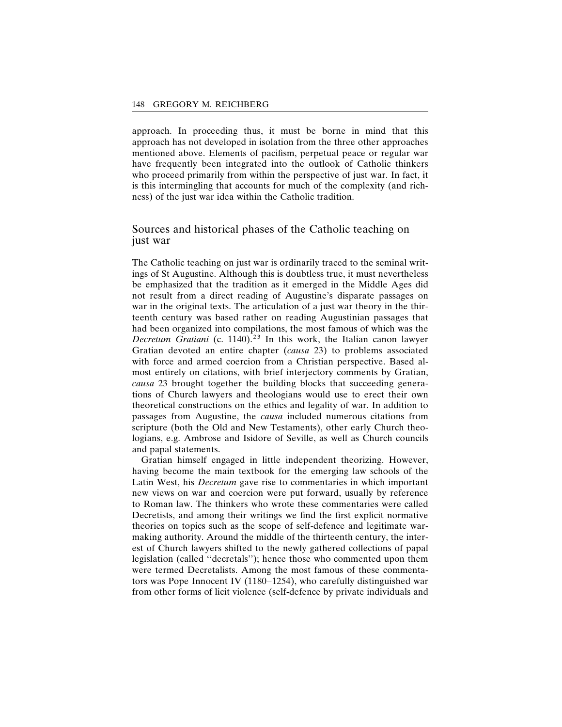approach. In proceeding thus, it must be borne in mind that this approach has not developed in isolation from the three other approaches mentioned above. Elements of pacifism, perpetual peace or regular war have frequently been integrated into the outlook of Catholic thinkers who proceed primarily from within the perspective of just war. In fact, it is this intermingling that accounts for much of the complexity (and richness) of the just war idea within the Catholic tradition.

## Sources and historical phases of the Catholic teaching on just war

The Catholic teaching on just war is ordinarily traced to the seminal writings of St Augustine. Although this is doubtless true, it must nevertheless be emphasized that the tradition as it emerged in the Middle Ages did not result from a direct reading of Augustine's disparate passages on war in the original texts. The articulation of a just war theory in the thirteenth century was based rather on reading Augustinian passages that had been organized into compilations, the most famous of which was the Decretum Gratiani (c. 1140).<sup>23</sup> In this work, the Italian canon lawyer Gratian devoted an entire chapter (causa 23) to problems associated with force and armed coercion from a Christian perspective. Based almost entirely on citations, with brief interjectory comments by Gratian, causa 23 brought together the building blocks that succeeding generations of Church lawyers and theologians would use to erect their own theoretical constructions on the ethics and legality of war. In addition to passages from Augustine, the causa included numerous citations from scripture (both the Old and New Testaments), other early Church theologians, e.g. Ambrose and Isidore of Seville, as well as Church councils and papal statements.

Gratian himself engaged in little independent theorizing. However, having become the main textbook for the emerging law schools of the Latin West, his Decretum gave rise to commentaries in which important new views on war and coercion were put forward, usually by reference to Roman law. The thinkers who wrote these commentaries were called Decretists, and among their writings we find the first explicit normative theories on topics such as the scope of self-defence and legitimate warmaking authority. Around the middle of the thirteenth century, the interest of Church lawyers shifted to the newly gathered collections of papal legislation (called ''decretals''); hence those who commented upon them were termed Decretalists. Among the most famous of these commentators was Pope Innocent IV (1180–1254), who carefully distinguished war from other forms of licit violence (self-defence by private individuals and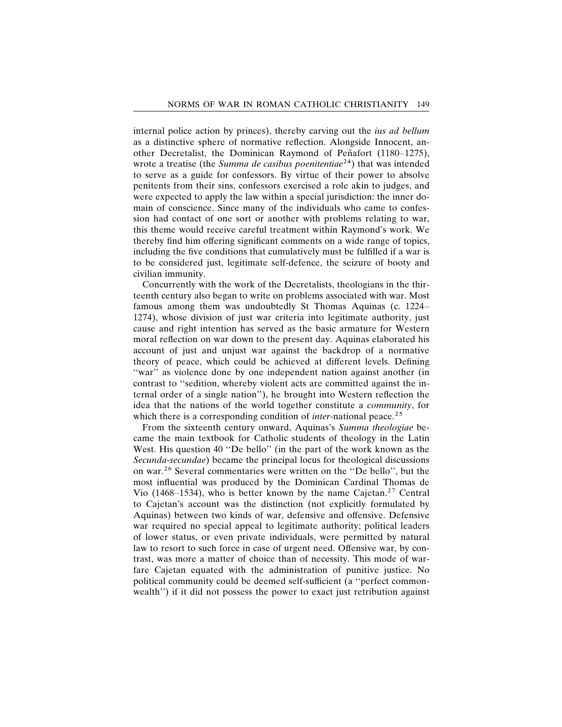internal police action by princes), thereby carving out the ius ad bellum as a distinctive sphere of normative reflection. Alongside Innocent, another Decretalist, the Dominican Raymond of Peñafort (1180–1275), wrote a treatise (the Summa de casibus poenitentiae<sup>24</sup>) that was intended to serve as a guide for confessors. By virtue of their power to absolve penitents from their sins, confessors exercised a role akin to judges, and were expected to apply the law within a special jurisdiction: the inner domain of conscience. Since many of the individuals who came to confession had contact of one sort or another with problems relating to war, this theme would receive careful treatment within Raymond's work. We thereby find him offering significant comments on a wide range of topics, including the five conditions that cumulatively must be fulfilled if a war is to be considered just, legitimate self-defence, the seizure of booty and civilian immunity.

Concurrently with the work of the Decretalists, theologians in the thirteenth century also began to write on problems associated with war. Most famous among them was undoubtedly St Thomas Aquinas (c. 1224– 1274), whose division of just war criteria into legitimate authority, just cause and right intention has served as the basic armature for Western moral reflection on war down to the present day. Aquinas elaborated his account of just and unjust war against the backdrop of a normative theory of peace, which could be achieved at different levels. Defining "war" as violence done by one independent nation against another (in contrast to ''sedition, whereby violent acts are committed against the internal order of a single nation''), he brought into Western reflection the idea that the nations of the world together constitute a community, for which there is a corresponding condition of *inter*-national peace.<sup>25</sup>

From the sixteenth century onward, Aquinas's Summa theologiae became the main textbook for Catholic students of theology in the Latin West. His question 40 ''De bello'' (in the part of the work known as the Secunda-secundae) became the principal locus for theological discussions on war.26 Several commentaries were written on the ''De bello'', but the most influential was produced by the Dominican Cardinal Thomas de Vio (1468–1534), who is better known by the name Cajetan.<sup>27</sup> Central to Cajetan's account was the distinction (not explicitly formulated by Aquinas) between two kinds of war, defensive and offensive. Defensive war required no special appeal to legitimate authority; political leaders of lower status, or even private individuals, were permitted by natural law to resort to such force in case of urgent need. Offensive war, by contrast, was more a matter of choice than of necessity. This mode of warfare Cajetan equated with the administration of punitive justice. No political community could be deemed self-sufficient (a ''perfect commonwealth'') if it did not possess the power to exact just retribution against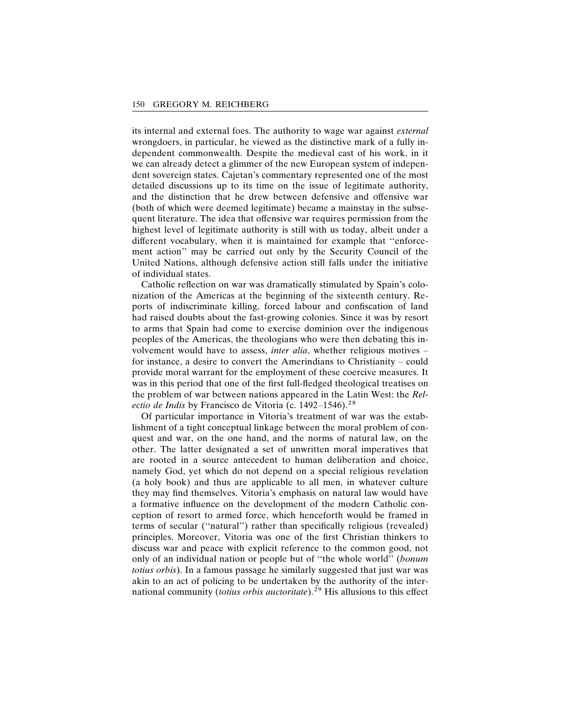its internal and external foes. The authority to wage war against external wrongdoers, in particular, he viewed as the distinctive mark of a fully independent commonwealth. Despite the medieval cast of his work, in it we can already detect a glimmer of the new European system of independent sovereign states. Cajetan's commentary represented one of the most detailed discussions up to its time on the issue of legitimate authority, and the distinction that he drew between defensive and offensive war (both of which were deemed legitimate) became a mainstay in the subsequent literature. The idea that offensive war requires permission from the highest level of legitimate authority is still with us today, albeit under a different vocabulary, when it is maintained for example that ''enforcement action'' may be carried out only by the Security Council of the United Nations, although defensive action still falls under the initiative of individual states.

Catholic reflection on war was dramatically stimulated by Spain's colonization of the Americas at the beginning of the sixteenth century. Reports of indiscriminate killing, forced labour and confiscation of land had raised doubts about the fast-growing colonies. Since it was by resort to arms that Spain had come to exercise dominion over the indigenous peoples of the Americas, the theologians who were then debating this involvement would have to assess, inter alia, whether religious motives – for instance, a desire to convert the Amerindians to Christianity – could provide moral warrant for the employment of these coercive measures. It was in this period that one of the first full-fledged theological treatises on the problem of war between nations appeared in the Latin West: the Relectio de Indis by Francisco de Vitoria (c. 1492–1546).<sup>28</sup>

Of particular importance in Vitoria's treatment of war was the establishment of a tight conceptual linkage between the moral problem of conquest and war, on the one hand, and the norms of natural law, on the other. The latter designated a set of unwritten moral imperatives that are rooted in a source antecedent to human deliberation and choice, namely God, yet which do not depend on a special religious revelation (a holy book) and thus are applicable to all men, in whatever culture they may find themselves. Vitoria's emphasis on natural law would have a formative influence on the development of the modern Catholic conception of resort to armed force, which henceforth would be framed in terms of secular (''natural'') rather than specifically religious (revealed) principles. Moreover, Vitoria was one of the first Christian thinkers to discuss war and peace with explicit reference to the common good, not only of an individual nation or people but of ''the whole world'' (bonum totius orbis). In a famous passage he similarly suggested that just war was akin to an act of policing to be undertaken by the authority of the international community (totius orbis auctoritate).<sup>29</sup> His allusions to this effect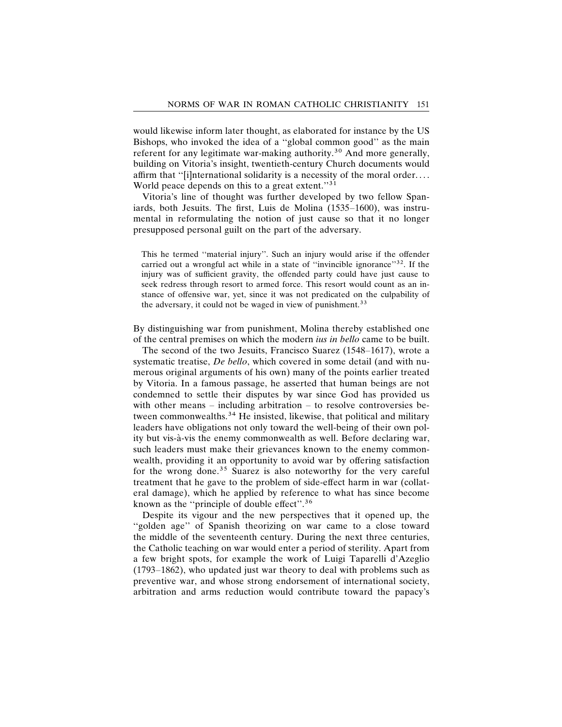would likewise inform later thought, as elaborated for instance by the US Bishops, who invoked the idea of a ''global common good'' as the main referent for any legitimate war-making authority.<sup>30</sup> And more generally, building on Vitoria's insight, twentieth-century Church documents would affirm that "[i]nternational solidarity is a necessity of the moral order.... World peace depends on this to a great extent."<sup>31</sup>

Vitoria's line of thought was further developed by two fellow Spaniards, both Jesuits. The first, Luis de Molina (1535–1600), was instrumental in reformulating the notion of just cause so that it no longer presupposed personal guilt on the part of the adversary.

This he termed ''material injury''. Such an injury would arise if the offender carried out a wrongful act while in a state of "invincible ignorance"<sup>32</sup>. If the injury was of sufficient gravity, the offended party could have just cause to seek redress through resort to armed force. This resort would count as an instance of offensive war, yet, since it was not predicated on the culpability of the adversary, it could not be waged in view of punishment.<sup>33</sup>

By distinguishing war from punishment, Molina thereby established one of the central premises on which the modern ius in bello came to be built.

The second of the two Jesuits, Francisco Suarez (1548–1617), wrote a systematic treatise, *De bello*, which covered in some detail (and with numerous original arguments of his own) many of the points earlier treated by Vitoria. In a famous passage, he asserted that human beings are not condemned to settle their disputes by war since God has provided us with other means – including arbitration – to resolve controversies between commonwealths.<sup>34</sup> He insisted, likewise, that political and military leaders have obligations not only toward the well-being of their own polity but vis-a`-vis the enemy commonwealth as well. Before declaring war, such leaders must make their grievances known to the enemy commonwealth, providing it an opportunity to avoid war by offering satisfaction for the wrong done.<sup>35</sup> Suarez is also noteworthy for the very careful treatment that he gave to the problem of side-effect harm in war (collateral damage), which he applied by reference to what has since become known as the ''principle of double effect''.36

Despite its vigour and the new perspectives that it opened up, the ''golden age'' of Spanish theorizing on war came to a close toward the middle of the seventeenth century. During the next three centuries, the Catholic teaching on war would enter a period of sterility. Apart from a few bright spots, for example the work of Luigi Taparelli d'Azeglio (1793–1862), who updated just war theory to deal with problems such as preventive war, and whose strong endorsement of international society, arbitration and arms reduction would contribute toward the papacy's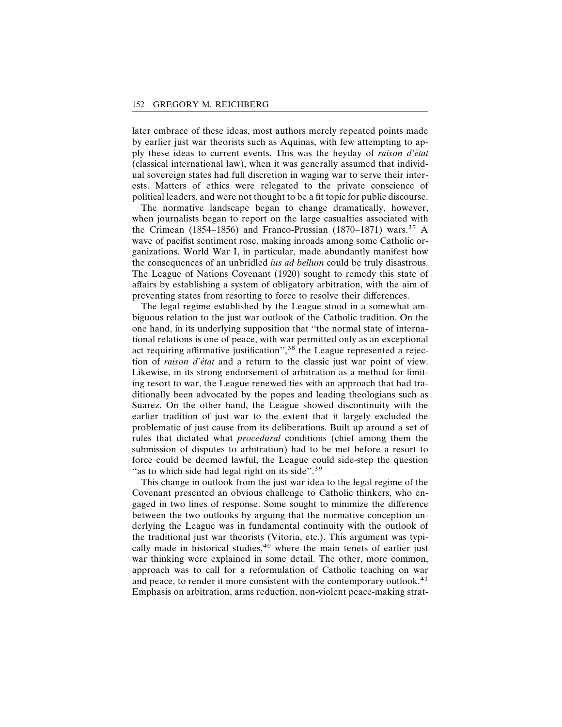later embrace of these ideas, most authors merely repeated points made by earlier just war theorists such as Aquinas, with few attempting to apply these ideas to current events. This was the heyday of *raison d'état* (classical international law), when it was generally assumed that individual sovereign states had full discretion in waging war to serve their interests. Matters of ethics were relegated to the private conscience of political leaders, and were not thought to be a fit topic for public discourse.

The normative landscape began to change dramatically, however, when journalists began to report on the large casualties associated with the Crimean (1854–1856) and Franco-Prussian (1870–1871) wars.<sup>37</sup> A wave of pacifist sentiment rose, making inroads among some Catholic organizations. World War I, in particular, made abundantly manifest how the consequences of an unbridled ius ad bellum could be truly disastrous. The League of Nations Covenant (1920) sought to remedy this state of affairs by establishing a system of obligatory arbitration, with the aim of preventing states from resorting to force to resolve their differences.

The legal regime established by the League stood in a somewhat ambiguous relation to the just war outlook of the Catholic tradition. On the one hand, in its underlying supposition that ''the normal state of international relations is one of peace, with war permitted only as an exceptional act requiring affirmative justification",<sup>38</sup> the League represented a rejection of *raison d'état* and a return to the classic just war point of view. Likewise, in its strong endorsement of arbitration as a method for limiting resort to war, the League renewed ties with an approach that had traditionally been advocated by the popes and leading theologians such as Suarez. On the other hand, the League showed discontinuity with the earlier tradition of just war to the extent that it largely excluded the problematic of just cause from its deliberations. Built up around a set of rules that dictated what procedural conditions (chief among them the submission of disputes to arbitration) had to be met before a resort to force could be deemed lawful, the League could side-step the question "as to which side had legal right on its side".<sup>39</sup>

This change in outlook from the just war idea to the legal regime of the Covenant presented an obvious challenge to Catholic thinkers, who engaged in two lines of response. Some sought to minimize the difference between the two outlooks by arguing that the normative conception underlying the League was in fundamental continuity with the outlook of the traditional just war theorists (Vitoria, etc.). This argument was typically made in historical studies,<sup>40</sup> where the main tenets of earlier just war thinking were explained in some detail. The other, more common, approach was to call for a reformulation of Catholic teaching on war and peace, to render it more consistent with the contemporary outlook.<sup>41</sup> Emphasis on arbitration, arms reduction, non-violent peace-making strat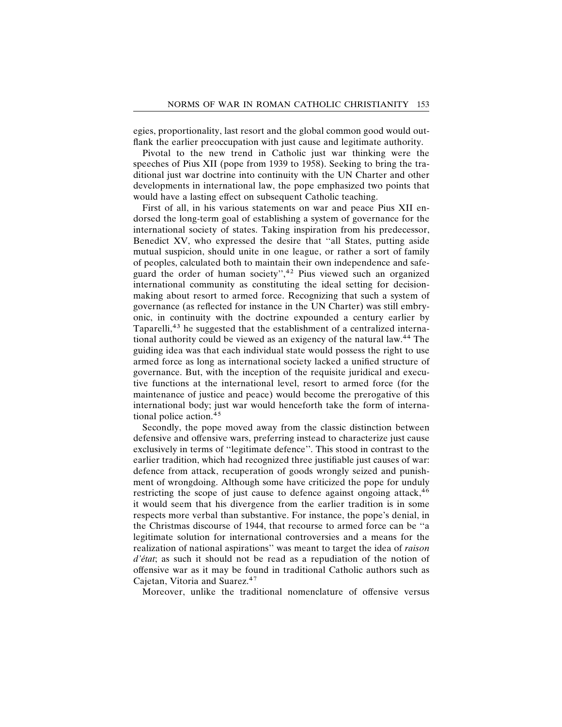egies, proportionality, last resort and the global common good would outflank the earlier preoccupation with just cause and legitimate authority.

Pivotal to the new trend in Catholic just war thinking were the speeches of Pius XII (pope from 1939 to 1958). Seeking to bring the traditional just war doctrine into continuity with the UN Charter and other developments in international law, the pope emphasized two points that would have a lasting effect on subsequent Catholic teaching.

First of all, in his various statements on war and peace Pius XII endorsed the long-term goal of establishing a system of governance for the international society of states. Taking inspiration from his predecessor, Benedict XV, who expressed the desire that ''all States, putting aside mutual suspicion, should unite in one league, or rather a sort of family of peoples, calculated both to maintain their own independence and safeguard the order of human society'',42 Pius viewed such an organized international community as constituting the ideal setting for decisionmaking about resort to armed force. Recognizing that such a system of governance (as reflected for instance in the UN Charter) was still embryonic, in continuity with the doctrine expounded a century earlier by Taparelli,<sup>43</sup> he suggested that the establishment of a centralized international authority could be viewed as an exigency of the natural law.44 The guiding idea was that each individual state would possess the right to use armed force as long as international society lacked a unified structure of governance. But, with the inception of the requisite juridical and executive functions at the international level, resort to armed force (for the maintenance of justice and peace) would become the prerogative of this international body; just war would henceforth take the form of international police action.<sup>45</sup>

Secondly, the pope moved away from the classic distinction between defensive and offensive wars, preferring instead to characterize just cause exclusively in terms of ''legitimate defence''. This stood in contrast to the earlier tradition, which had recognized three justifiable just causes of war: defence from attack, recuperation of goods wrongly seized and punishment of wrongdoing. Although some have criticized the pope for unduly restricting the scope of just cause to defence against ongoing attack, <sup>46</sup> it would seem that his divergence from the earlier tradition is in some respects more verbal than substantive. For instance, the pope's denial, in the Christmas discourse of 1944, that recourse to armed force can be ''a legitimate solution for international controversies and a means for the realization of national aspirations" was meant to target the idea of raison d'état; as such it should not be read as a repudiation of the notion of offensive war as it may be found in traditional Catholic authors such as Cajetan, Vitoria and Suarez.47

Moreover, unlike the traditional nomenclature of offensive versus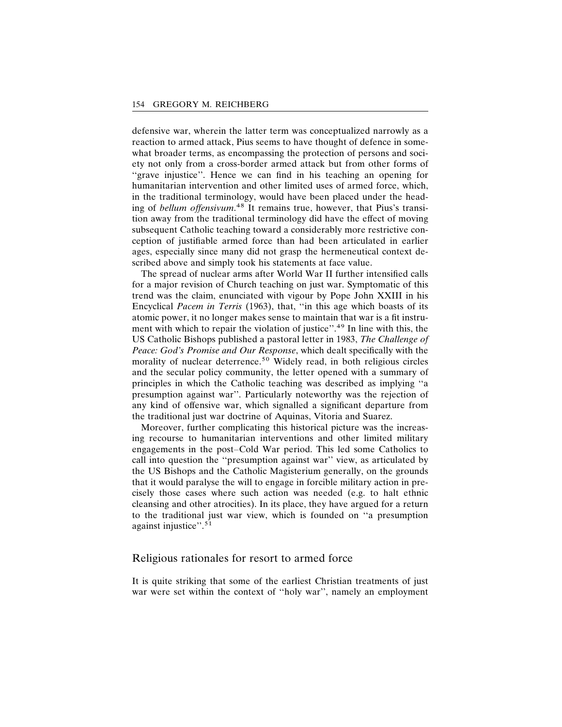defensive war, wherein the latter term was conceptualized narrowly as a reaction to armed attack, Pius seems to have thought of defence in somewhat broader terms, as encompassing the protection of persons and society not only from a cross-border armed attack but from other forms of "grave injustice". Hence we can find in his teaching an opening for humanitarian intervention and other limited uses of armed force, which, in the traditional terminology, would have been placed under the heading of *bellum offensivum*.<sup>48</sup> It remains true, however, that Pius's transition away from the traditional terminology did have the effect of moving subsequent Catholic teaching toward a considerably more restrictive conception of justifiable armed force than had been articulated in earlier ages, especially since many did not grasp the hermeneutical context described above and simply took his statements at face value.

The spread of nuclear arms after World War II further intensified calls for a major revision of Church teaching on just war. Symptomatic of this trend was the claim, enunciated with vigour by Pope John XXIII in his Encyclical Pacem in Terris (1963), that, ''in this age which boasts of its atomic power, it no longer makes sense to maintain that war is a fit instrument with which to repair the violation of justice''.49 In line with this, the US Catholic Bishops published a pastoral letter in 1983, The Challenge of Peace: God's Promise and Our Response, which dealt specifically with the morality of nuclear deterrence.<sup>50</sup> Widely read, in both religious circles and the secular policy community, the letter opened with a summary of principles in which the Catholic teaching was described as implying ''a presumption against war''. Particularly noteworthy was the rejection of any kind of offensive war, which signalled a significant departure from the traditional just war doctrine of Aquinas, Vitoria and Suarez.

Moreover, further complicating this historical picture was the increasing recourse to humanitarian interventions and other limited military engagements in the post–Cold War period. This led some Catholics to call into question the ''presumption against war'' view, as articulated by the US Bishops and the Catholic Magisterium generally, on the grounds that it would paralyse the will to engage in forcible military action in precisely those cases where such action was needed (e.g. to halt ethnic cleansing and other atrocities). In its place, they have argued for a return to the traditional just war view, which is founded on ''a presumption against injustice''.51

## Religious rationales for resort to armed force

It is quite striking that some of the earliest Christian treatments of just war were set within the context of ''holy war'', namely an employment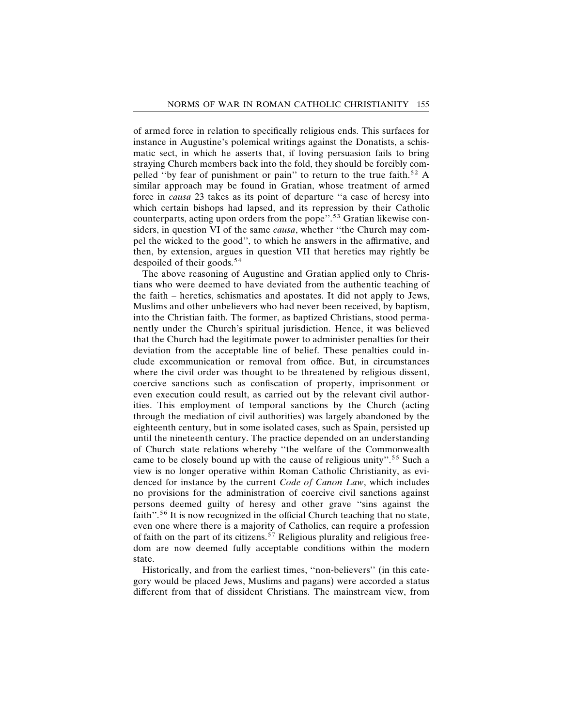of armed force in relation to specifically religious ends. This surfaces for instance in Augustine's polemical writings against the Donatists, a schismatic sect, in which he asserts that, if loving persuasion fails to bring straying Church members back into the fold, they should be forcibly compelled "by fear of punishment or pain" to return to the true faith.<sup>52</sup> A similar approach may be found in Gratian, whose treatment of armed force in causa 23 takes as its point of departure ''a case of heresy into which certain bishops had lapsed, and its repression by their Catholic counterparts, acting upon orders from the pope''.53 Gratian likewise considers, in question VI of the same *causa*, whether "the Church may compel the wicked to the good'', to which he answers in the affirmative, and then, by extension, argues in question VII that heretics may rightly be despoiled of their goods.<sup>54</sup>

The above reasoning of Augustine and Gratian applied only to Christians who were deemed to have deviated from the authentic teaching of the faith – heretics, schismatics and apostates. It did not apply to Jews, Muslims and other unbelievers who had never been received, by baptism, into the Christian faith. The former, as baptized Christians, stood permanently under the Church's spiritual jurisdiction. Hence, it was believed that the Church had the legitimate power to administer penalties for their deviation from the acceptable line of belief. These penalties could include excommunication or removal from office. But, in circumstances where the civil order was thought to be threatened by religious dissent, coercive sanctions such as confiscation of property, imprisonment or even execution could result, as carried out by the relevant civil authorities. This employment of temporal sanctions by the Church (acting through the mediation of civil authorities) was largely abandoned by the eighteenth century, but in some isolated cases, such as Spain, persisted up until the nineteenth century. The practice depended on an understanding of Church–state relations whereby ''the welfare of the Commonwealth came to be closely bound up with the cause of religious unity''.55 Such a view is no longer operative within Roman Catholic Christianity, as evidenced for instance by the current *Code of Canon Law*, which includes no provisions for the administration of coercive civil sanctions against persons deemed guilty of heresy and other grave ''sins against the faith"<sup>56</sup> It is now recognized in the official Church teaching that no state, even one where there is a majority of Catholics, can require a profession of faith on the part of its citizens.<sup>57</sup> Religious plurality and religious freedom are now deemed fully acceptable conditions within the modern state.

Historically, and from the earliest times, ''non-believers'' (in this category would be placed Jews, Muslims and pagans) were accorded a status different from that of dissident Christians. The mainstream view, from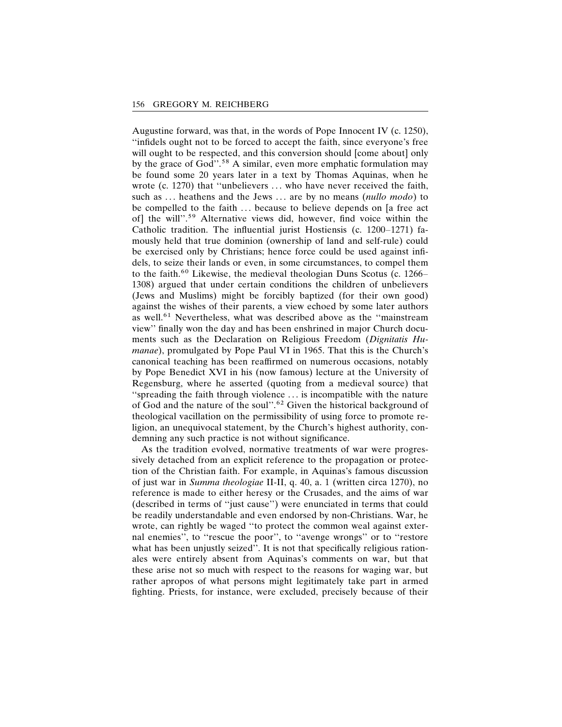Augustine forward, was that, in the words of Pope Innocent IV (c. 1250), ''infidels ought not to be forced to accept the faith, since everyone's free will ought to be respected, and this conversion should [come about] only by the grace of God".<sup>58</sup> A similar, even more emphatic formulation may be found some 20 years later in a text by Thomas Aquinas, when he wrote (c. 1270) that "unbelievers ... who have never received the faith, such as ... heathens and the Jews ... are by no means (nullo modo) to be compelled to the faith ... because to believe depends on [a free act of] the will''.59 Alternative views did, however, find voice within the Catholic tradition. The influential jurist Hostiensis (c. 1200–1271) famously held that true dominion (ownership of land and self-rule) could be exercised only by Christians; hence force could be used against infidels, to seize their lands or even, in some circumstances, to compel them to the faith.60 Likewise, the medieval theologian Duns Scotus (c. 1266– 1308) argued that under certain conditions the children of unbelievers (Jews and Muslims) might be forcibly baptized (for their own good) against the wishes of their parents, a view echoed by some later authors as well.61 Nevertheless, what was described above as the ''mainstream view'' finally won the day and has been enshrined in major Church documents such as the Declaration on Religious Freedom (Dignitatis Humanae), promulgated by Pope Paul VI in 1965. That this is the Church's canonical teaching has been reaffirmed on numerous occasions, notably by Pope Benedict XVI in his (now famous) lecture at the University of Regensburg, where he asserted (quoting from a medieval source) that ''spreading the faith through violence . . . is incompatible with the nature of God and the nature of the soul''.62 Given the historical background of theological vacillation on the permissibility of using force to promote religion, an unequivocal statement, by the Church's highest authority, condemning any such practice is not without significance.

As the tradition evolved, normative treatments of war were progressively detached from an explicit reference to the propagation or protection of the Christian faith. For example, in Aquinas's famous discussion of just war in Summa theologiae II-II, q. 40, a. 1 (written circa 1270), no reference is made to either heresy or the Crusades, and the aims of war (described in terms of ''just cause'') were enunciated in terms that could be readily understandable and even endorsed by non-Christians. War, he wrote, can rightly be waged ''to protect the common weal against external enemies'', to ''rescue the poor'', to ''avenge wrongs'' or to ''restore what has been unjustly seized''. It is not that specifically religious rationales were entirely absent from Aquinas's comments on war, but that these arise not so much with respect to the reasons for waging war, but rather apropos of what persons might legitimately take part in armed fighting. Priests, for instance, were excluded, precisely because of their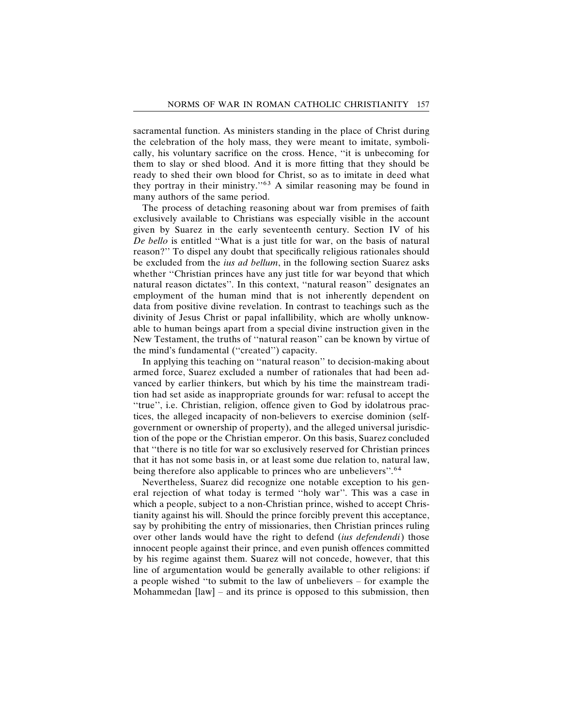sacramental function. As ministers standing in the place of Christ during the celebration of the holy mass, they were meant to imitate, symbolically, his voluntary sacrifice on the cross. Hence, ''it is unbecoming for them to slay or shed blood. And it is more fitting that they should be ready to shed their own blood for Christ, so as to imitate in deed what they portray in their ministry.''63 A similar reasoning may be found in many authors of the same period.

The process of detaching reasoning about war from premises of faith exclusively available to Christians was especially visible in the account given by Suarez in the early seventeenth century. Section IV of his De bello is entitled ''What is a just title for war, on the basis of natural reason?'' To dispel any doubt that specifically religious rationales should be excluded from the ius ad bellum, in the following section Suarez asks whether "Christian princes have any just title for war beyond that which natural reason dictates''. In this context, ''natural reason'' designates an employment of the human mind that is not inherently dependent on data from positive divine revelation. In contrast to teachings such as the divinity of Jesus Christ or papal infallibility, which are wholly unknowable to human beings apart from a special divine instruction given in the New Testament, the truths of ''natural reason'' can be known by virtue of the mind's fundamental (''created'') capacity.

In applying this teaching on ''natural reason'' to decision-making about armed force, Suarez excluded a number of rationales that had been advanced by earlier thinkers, but which by his time the mainstream tradition had set aside as inappropriate grounds for war: refusal to accept the ''true'', i.e. Christian, religion, offence given to God by idolatrous practices, the alleged incapacity of non-believers to exercise dominion (selfgovernment or ownership of property), and the alleged universal jurisdiction of the pope or the Christian emperor. On this basis, Suarez concluded that ''there is no title for war so exclusively reserved for Christian princes that it has not some basis in, or at least some due relation to, natural law, being therefore also applicable to princes who are unbelievers".<sup>64</sup>

Nevertheless, Suarez did recognize one notable exception to his general rejection of what today is termed ''holy war''. This was a case in which a people, subject to a non-Christian prince, wished to accept Christianity against his will. Should the prince forcibly prevent this acceptance, say by prohibiting the entry of missionaries, then Christian princes ruling over other lands would have the right to defend (ius defendendi) those innocent people against their prince, and even punish offences committed by his regime against them. Suarez will not concede, however, that this line of argumentation would be generally available to other religions: if a people wished ''to submit to the law of unbelievers – for example the Mohammedan  $[law]$  – and its prince is opposed to this submission, then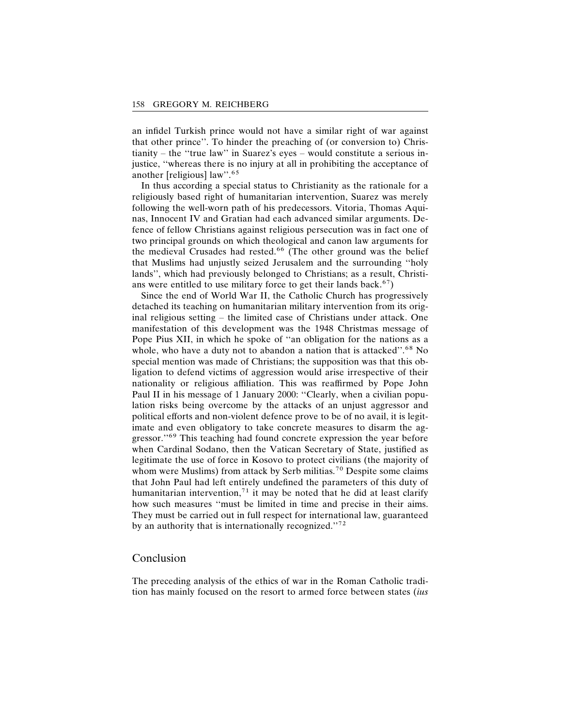an infidel Turkish prince would not have a similar right of war against that other prince''. To hinder the preaching of (or conversion to) Christianity – the ''true law'' in Suarez's eyes – would constitute a serious injustice, ''whereas there is no injury at all in prohibiting the acceptance of another [religious] law''.65

In thus according a special status to Christianity as the rationale for a religiously based right of humanitarian intervention, Suarez was merely following the well-worn path of his predecessors. Vitoria, Thomas Aquinas, Innocent IV and Gratian had each advanced similar arguments. Defence of fellow Christians against religious persecution was in fact one of two principal grounds on which theological and canon law arguments for the medieval Crusades had rested.<sup>66</sup> (The other ground was the belief that Muslims had unjustly seized Jerusalem and the surrounding ''holy lands'', which had previously belonged to Christians; as a result, Christians were entitled to use military force to get their lands back.<sup>67</sup>)

Since the end of World War II, the Catholic Church has progressively detached its teaching on humanitarian military intervention from its original religious setting – the limited case of Christians under attack. One manifestation of this development was the 1948 Christmas message of Pope Pius XII, in which he spoke of ''an obligation for the nations as a whole, who have a duty not to abandon a nation that is attacked".<sup>68</sup> No special mention was made of Christians; the supposition was that this obligation to defend victims of aggression would arise irrespective of their nationality or religious affiliation. This was reaffirmed by Pope John Paul II in his message of 1 January 2000: ''Clearly, when a civilian population risks being overcome by the attacks of an unjust aggressor and political efforts and non-violent defence prove to be of no avail, it is legitimate and even obligatory to take concrete measures to disarm the aggressor.''69 This teaching had found concrete expression the year before when Cardinal Sodano, then the Vatican Secretary of State, justified as legitimate the use of force in Kosovo to protect civilians (the majority of whom were Muslims) from attack by Serb militias.<sup>70</sup> Despite some claims that John Paul had left entirely undefined the parameters of this duty of humanitarian intervention,<sup>71</sup> it may be noted that he did at least clarify how such measures ''must be limited in time and precise in their aims. They must be carried out in full respect for international law, guaranteed by an authority that is internationally recognized."<sup>72</sup>

## Conclusion

The preceding analysis of the ethics of war in the Roman Catholic tradition has mainly focused on the resort to armed force between states (ius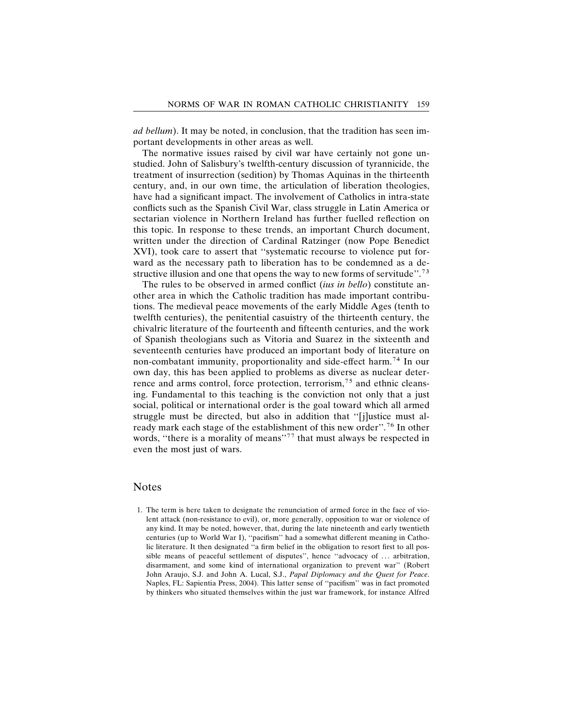ad bellum). It may be noted, in conclusion, that the tradition has seen important developments in other areas as well.

The normative issues raised by civil war have certainly not gone unstudied. John of Salisbury's twelfth-century discussion of tyrannicide, the treatment of insurrection (sedition) by Thomas Aquinas in the thirteenth century, and, in our own time, the articulation of liberation theologies, have had a significant impact. The involvement of Catholics in intra-state conflicts such as the Spanish Civil War, class struggle in Latin America or sectarian violence in Northern Ireland has further fuelled reflection on this topic. In response to these trends, an important Church document, written under the direction of Cardinal Ratzinger (now Pope Benedict XVI), took care to assert that ''systematic recourse to violence put forward as the necessary path to liberation has to be condemned as a destructive illusion and one that opens the way to new forms of servitude".<sup>73</sup>

The rules to be observed in armed conflict *(ius in bello)* constitute another area in which the Catholic tradition has made important contributions. The medieval peace movements of the early Middle Ages (tenth to twelfth centuries), the penitential casuistry of the thirteenth century, the chivalric literature of the fourteenth and fifteenth centuries, and the work of Spanish theologians such as Vitoria and Suarez in the sixteenth and seventeenth centuries have produced an important body of literature on non-combatant immunity, proportionality and side-effect harm.<sup>74</sup> In our own day, this has been applied to problems as diverse as nuclear deterrence and arms control, force protection, terrorism,<sup>75</sup> and ethnic cleansing. Fundamental to this teaching is the conviction not only that a just social, political or international order is the goal toward which all armed struggle must be directed, but also in addition that ''[j]ustice must already mark each stage of the establishment of this new order''.76 In other words, "there is a morality of means"<sup>77</sup> that must always be respected in even the most just of wars.

#### Notes

1. The term is here taken to designate the renunciation of armed force in the face of violent attack (non-resistance to evil), or, more generally, opposition to war or violence of any kind. It may be noted, however, that, during the late nineteenth and early twentieth centuries (up to World War I), ''pacifism'' had a somewhat different meaning in Catholic literature. It then designated ''a firm belief in the obligation to resort first to all possible means of peaceful settlement of disputes", hence "advocacy of ... arbitration, disarmament, and some kind of international organization to prevent war'' (Robert John Araujo, S.J. and John A. Lucal, S.J., Papal Diplomacy and the Quest for Peace. Naples, FL: Sapientia Press, 2004). This latter sense of ''pacifism'' was in fact promoted by thinkers who situated themselves within the just war framework, for instance Alfred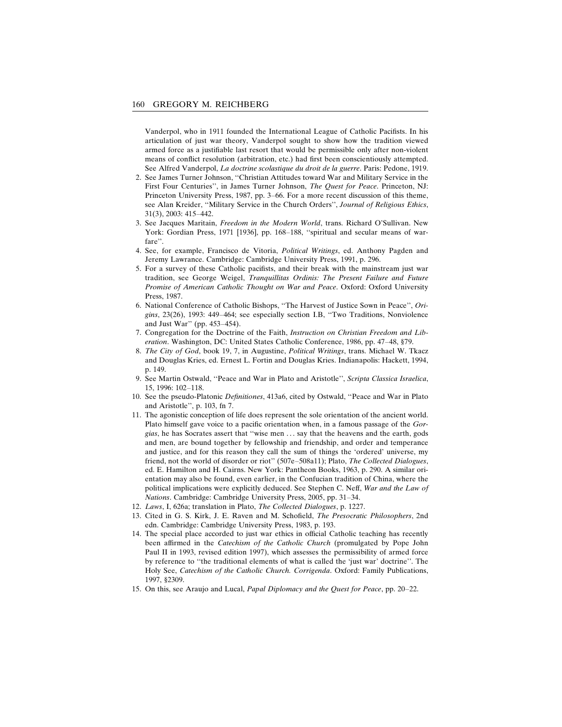Vanderpol, who in 1911 founded the International League of Catholic Pacifists. In his articulation of just war theory, Vanderpol sought to show how the tradition viewed armed force as a justifiable last resort that would be permissible only after non-violent means of conflict resolution (arbitration, etc.) had first been conscientiously attempted. See Alfred Vanderpol, La doctrine scolastique du droit de la guerre. Paris: Pedone, 1919.

- 2. See James Turner Johnson, ''Christian Attitudes toward War and Military Service in the First Four Centuries'', in James Turner Johnson, The Quest for Peace. Princeton, NJ: Princeton University Press, 1987, pp. 3–66. For a more recent discussion of this theme, see Alan Kreider, "Military Service in the Church Orders", Journal of Religious Ethics, 31(3), 2003: 415–442.
- 3. See Jacques Maritain, Freedom in the Modern World, trans. Richard O'Sullivan. New York: Gordian Press, 1971 [1936], pp. 168–188, ''spiritual and secular means of warfare''.
- 4. See, for example, Francisco de Vitoria, Political Writings, ed. Anthony Pagden and Jeremy Lawrance. Cambridge: Cambridge University Press, 1991, p. 296.
- 5. For a survey of these Catholic pacifists, and their break with the mainstream just war tradition, see George Weigel, Tranquillitas Ordinis: The Present Failure and Future Promise of American Catholic Thought on War and Peace. Oxford: Oxford University Press, 1987.
- 6. National Conference of Catholic Bishops, ''The Harvest of Justice Sown in Peace'', Origins, 23(26), 1993: 449–464; see especially section I.B, ''Two Traditions, Nonviolence and Just War'' (pp. 453–454).
- 7. Congregation for the Doctrine of the Faith, Instruction on Christian Freedom and Liberation. Washington, DC: United States Catholic Conference, 1986, pp. 47–48, §79.
- 8. The City of God, book 19, 7, in Augustine, Political Writings, trans. Michael W. Tkacz and Douglas Kries, ed. Ernest L. Fortin and Douglas Kries. Indianapolis: Hackett, 1994, p. 149.
- 9. See Martin Ostwald, ''Peace and War in Plato and Aristotle'', Scripta Classica Israelica, 15, 1996: 102–118.
- 10. See the pseudo-Platonic Definitiones, 413a6, cited by Ostwald, ''Peace and War in Plato and Aristotle'', p. 103, fn 7.
- 11. The agonistic conception of life does represent the sole orientation of the ancient world. Plato himself gave voice to a pacific orientation when, in a famous passage of the Gorgias, he has Socrates assert that ''wise men . . . say that the heavens and the earth, gods and men, are bound together by fellowship and friendship, and order and temperance and justice, and for this reason they call the sum of things the 'ordered' universe, my friend, not the world of disorder or riot'' (507e–508a11); Plato, The Collected Dialogues, ed. E. Hamilton and H. Cairns. New York: Pantheon Books, 1963, p. 290. A similar orientation may also be found, even earlier, in the Confucian tradition of China, where the political implications were explicitly deduced. See Stephen C. Neff, War and the Law of Nations. Cambridge: Cambridge University Press, 2005, pp. 31–34.
- 12. Laws, I, 626a; translation in Plato, The Collected Dialogues, p. 1227.
- 13. Cited in G. S. Kirk, J. E. Raven and M. Schofield, The Presocratic Philosophers, 2nd edn. Cambridge: Cambridge University Press, 1983, p. 193.
- 14. The special place accorded to just war ethics in official Catholic teaching has recently been affirmed in the Catechism of the Catholic Church (promulgated by Pope John Paul II in 1993, revised edition 1997), which assesses the permissibility of armed force by reference to ''the traditional elements of what is called the 'just war' doctrine''. The Holy See, Catechism of the Catholic Church. Corrigenda. Oxford: Family Publications, 1997, §2309.
- 15. On this, see Araujo and Lucal, Papal Diplomacy and the Quest for Peace, pp. 20–22.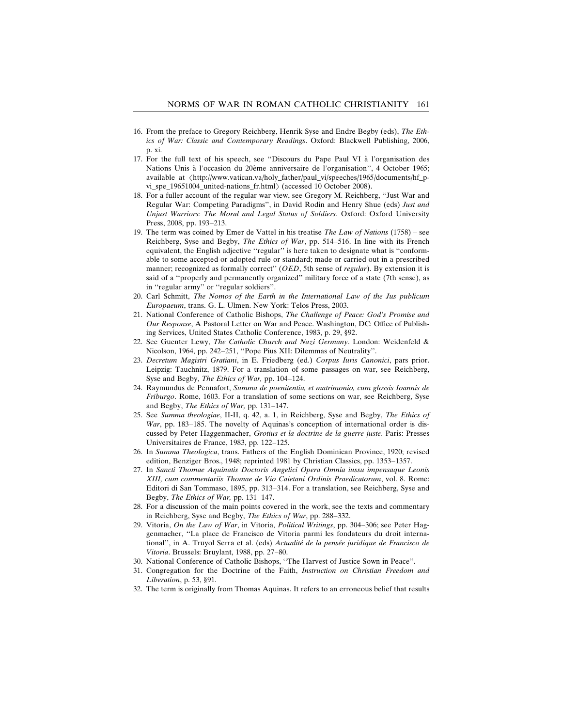- 16. From the preface to Gregory Reichberg, Henrik Syse and Endre Begby (eds), The Ethics of War: Classic and Contemporary Readings. Oxford: Blackwell Publishing, 2006, p. xi.
- 17. For the full text of his speech, see ''Discours du Pape Paul VI a` l'organisation des Nations Unis à l'occasion du 20ème anniversaire de l'organisation'', 4 October 1965; available at  $\langle$ http://www.vatican.va/holy\_father/paul\_vi/speeches/1965/documents/hf\_pvi\_spe\_19651004\_united-nations\_fr.html (accessed 10 October 2008).
- 18. For a fuller account of the regular war view, see Gregory M. Reichberg, ''Just War and Regular War: Competing Paradigms'', in David Rodin and Henry Shue (eds) Just and Unjust Warriors: The Moral and Legal Status of Soldiers. Oxford: Oxford University Press, 2008, pp. 193–213.
- 19. The term was coined by Emer de Vattel in his treatise The Law of Nations (1758) see Reichberg, Syse and Begby, The Ethics of War, pp. 514–516. In line with its French equivalent, the English adjective "regular" is here taken to designate what is "conformable to some accepted or adopted rule or standard; made or carried out in a prescribed manner; recognized as formally correct" (OED, 5th sense of regular). By extension it is said of a ''properly and permanently organized'' military force of a state (7th sense), as in ''regular army'' or ''regular soldiers''.
- 20. Carl Schmitt, The Nomos of the Earth in the International Law of the Jus publicum Europaeum, trans. G. L. Ulmen. New York: Telos Press, 2003.
- 21. National Conference of Catholic Bishops, The Challenge of Peace: God's Promise and Our Response, A Pastoral Letter on War and Peace. Washington, DC: Office of Publishing Services, United States Catholic Conference, 1983, p. 29, §92.
- 22. See Guenter Lewy, The Catholic Church and Nazi Germany. London: Weidenfeld & Nicolson, 1964, pp. 242–251, ''Pope Pius XII: Dilemmas of Neutrality''.
- 23. Decretum Magistri Gratiani, in E. Friedberg (ed.) Corpus Iuris Canonici, pars prior. Leipzig: Tauchnitz, 1879. For a translation of some passages on war, see Reichberg, Syse and Begby, The Ethics of War, pp. 104–124.
- 24. Raymundus de Pennafort, Summa de poenitentia, et matrimonio, cum glossis Ioannis de Friburgo. Rome, 1603. For a translation of some sections on war, see Reichberg, Syse and Begby, The Ethics of War, pp. 131–147.
- 25. See Summa theologiae, II-II, q. 42, a. 1, in Reichberg, Syse and Begby, The Ethics of War, pp. 183-185. The novelty of Aquinas's conception of international order is discussed by Peter Haggenmacher, Grotius et la doctrine de la guerre juste. Paris: Presses Universitaires de France, 1983, pp. 122–125.
- 26. In Summa Theologica, trans. Fathers of the English Dominican Province, 1920; revised edition, Benziger Bros., 1948; reprinted 1981 by Christian Classics, pp. 1353–1357.
- 27. In Sancti Thomae Aquinatis Doctoris Angelici Opera Omnia iussu impensaque Leonis XIII, cum commentariis Thomae de Vio Caietani Ordinis Praedicatorum, vol. 8. Rome: Editori di San Tommaso, 1895, pp. 313–314. For a translation, see Reichberg, Syse and Begby, The Ethics of War, pp. 131–147.
- 28. For a discussion of the main points covered in the work, see the texts and commentary in Reichberg, Syse and Begby, The Ethics of War, pp. 288–332.
- 29. Vitoria, On the Law of War, in Vitoria, Political Writings, pp. 304–306; see Peter Haggenmacher, ''La place de Francisco de Vitoria parmi les fondateurs du droit international", in A. Truyol Serra et al. (eds) Actualité de la pensée juridique de Francisco de Vitoria. Brussels: Bruylant, 1988, pp. 27–80.
- 30. National Conference of Catholic Bishops, ''The Harvest of Justice Sown in Peace''.
- 31. Congregation for the Doctrine of the Faith, Instruction on Christian Freedom and Liberation, p. 53, §91.
- 32. The term is originally from Thomas Aquinas. It refers to an erroneous belief that results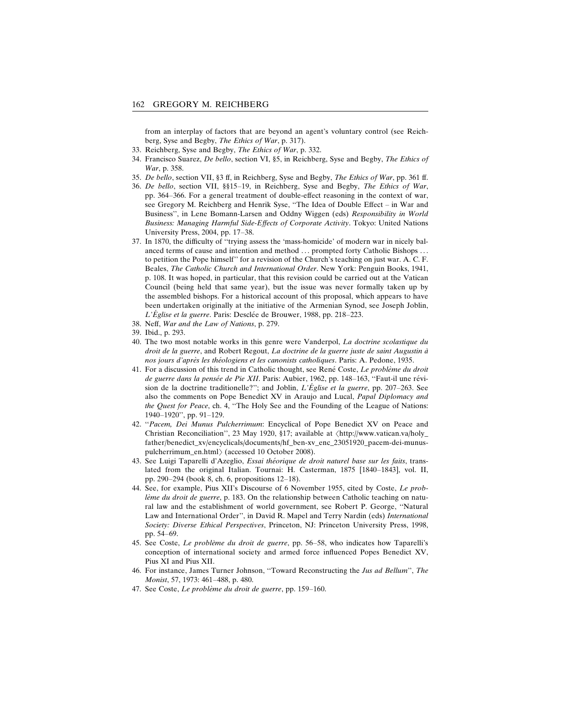from an interplay of factors that are beyond an agent's voluntary control (see Reichberg, Syse and Begby, The Ethics of War, p. 317).

- 33. Reichberg, Syse and Begby, The Ethics of War, p. 332.
- 34. Francisco Suarez, De bello, section VI, §5, in Reichberg, Syse and Begby, The Ethics of War, p. 358.
- 35. De bello, section VII, §3 ff, in Reichberg, Syse and Begby, The Ethics of War, pp. 361 ff.
- 36. De bello, section VII, §§15–19, in Reichberg, Syse and Begby, The Ethics of War, pp. 364–366. For a general treatment of double-effect reasoning in the context of war, see Gregory M. Reichberg and Henrik Syse, ''The Idea of Double Effect – in War and Business'', in Lene Bomann-Larsen and Oddny Wiggen (eds) Responsibility in World Business: Managing Harmful Side-Effects of Corporate Activity. Tokyo: United Nations University Press, 2004, pp. 17–38.
- 37. In 1870, the difficulty of ''trying assess the 'mass-homicide' of modern war in nicely balanced terms of cause and intention and method ... prompted forty Catholic Bishops ... to petition the Pope himself'' for a revision of the Church's teaching on just war. A. C. F. Beales, The Catholic Church and International Order. New York: Penguin Books, 1941, p. 108. It was hoped, in particular, that this revision could be carried out at the Vatican Council (being held that same year), but the issue was never formally taken up by the assembled bishops. For a historical account of this proposal, which appears to have been undertaken originally at the initiative of the Armenian Synod, see Joseph Joblin,  $L'$ Église et la guerre. Paris: Desclée de Brouwer, 1988, pp. 218–223.
- 38. Neff, War and the Law of Nations, p. 279.
- 39. Ibid., p. 293.
- 40. The two most notable works in this genre were Vanderpol, La doctrine scolastique du droit de la guerre, and Robert Regout, La doctrine de la guerre juste de saint Augustin à nos jours d'après les théologiens et les canonists catholiques. Paris: A. Pedone, 1935.
- 41. For a discussion of this trend in Catholic thought, see René Coste, Le problème du droit de guerre dans la pensée de Pie XII. Paris: Aubier, 1962, pp. 148-163, "Faut-il une révision de la doctrine traditionelle?"; and Joblin,  $L'$ Église et la guerre, pp. 207–263. See also the comments on Pope Benedict XV in Araujo and Lucal, Papal Diplomacy and the Quest for Peace, ch. 4, ''The Holy See and the Founding of the League of Nations: 1940–1920'', pp. 91–129.
- 42. ''Pacem, Dei Munus Pulcherrimum: Encyclical of Pope Benedict XV on Peace and Christian Reconciliation", 23 May 1920, §17; available at  $\langle \text{http://www.vatican.va/holy\_}$ father/benedict\_xv/encyclicals/documents/hf\_ben-xv\_enc\_23051920\_pacem-dei-munuspulcherrimum\_en.html $\rangle$  (accessed 10 October 2008).
- 43. See Luigi Taparelli d'Azeglio, Essai théorique de droit naturel base sur les faits, translated from the original Italian. Tournai: H. Casterman, 1875 [1840–1843], vol. II, pp. 290–294 (book 8, ch. 6, propositions 12–18).
- 44. See, for example, Pius XII's Discourse of 6 November 1955, cited by Coste, Le problème du droit de guerre, p. 183. On the relationship between Catholic teaching on natural law and the establishment of world government, see Robert P. George, ''Natural Law and International Order'', in David R. Mapel and Terry Nardin (eds) International Society: Diverse Ethical Perspectives, Princeton, NJ: Princeton University Press, 1998, pp. 54–69.
- 45. See Coste, Le problème du droit de guerre, pp. 56–58, who indicates how Taparelli's conception of international society and armed force influenced Popes Benedict XV, Pius XI and Pius XII.
- 46. For instance, James Turner Johnson, ''Toward Reconstructing the Jus ad Bellum'', The Monist, 57, 1973: 461–488, p. 480.
- 47. See Coste, Le problème du droit de guerre, pp. 159-160.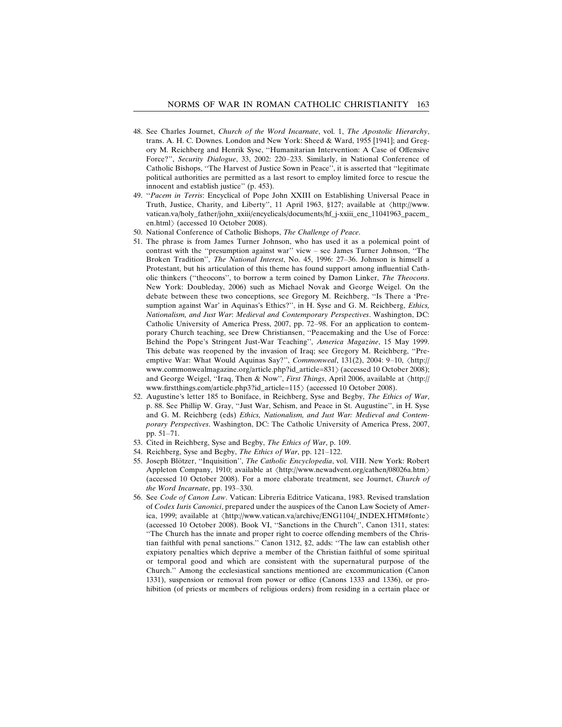- 48. See Charles Journet, Church of the Word Incarnate, vol. 1, The Apostolic Hierarchy, trans. A. H. C. Downes. London and New York: Sheed & Ward, 1955 [1941]; and Gregory M. Reichberg and Henrik Syse, ''Humanitarian Intervention: A Case of Offensive Force?'', Security Dialogue, 33, 2002: 220–233. Similarly, in National Conference of Catholic Bishops, ''The Harvest of Justice Sown in Peace'', it is asserted that ''legitimate political authorities are permitted as a last resort to employ limited force to rescue the innocent and establish justice'' (p. 453).
- 49. "Pacem in Terris: Encyclical of Pope John XXIII on Establishing Universal Peace in Truth, Justice, Charity, and Liberty", 11 April 1963, §127; available at  $\langle$ http://www. vatican.va/holy father/john\_xxiii/encyclicals/documents/hf\_j-xxiii\_enc\_11041963\_pacem en.html $\rangle$  (accessed 10 October 2008).
- 50. National Conference of Catholic Bishops, The Challenge of Peace.
- 51. The phrase is from James Turner Johnson, who has used it as a polemical point of contrast with the ''presumption against war'' view – see James Turner Johnson, ''The Broken Tradition'', The National Interest, No. 45, 1996: 27–36. Johnson is himself a Protestant, but his articulation of this theme has found support among influential Catholic thinkers (''theocons'', to borrow a term coined by Damon Linker, The Theocons. New York: Doubleday, 2006) such as Michael Novak and George Weigel. On the debate between these two conceptions, see Gregory M. Reichberg, ''Is There a 'Presumption against War' in Aquinas's Ethics?", in H. Syse and G. M. Reichberg, Ethics, Nationalism, and Just War: Medieval and Contemporary Perspectives. Washington, DC: Catholic University of America Press, 2007, pp. 72–98. For an application to contemporary Church teaching, see Drew Christiansen, ''Peacemaking and the Use of Force: Behind the Pope's Stringent Just-War Teaching'', America Magazine, 15 May 1999. This debate was reopened by the invasion of Iraq; see Gregory M. Reichberg, ''Preemptive War: What Would Aquinas Say?", *Commonweal*, 131(2), 2004: 9-10,  $\langle$ http:// www.commonwealmagazine.org/article.php?id\_article=831> (accessed 10 October 2008); and George Weigel, "Iraq, Then & Now", First Things, April 2006, available at  $\langle$ http:// www.firstthings.com/article.php3?id\_article=115 \ (accessed 10 October 2008).
- 52. Augustine's letter 185 to Boniface, in Reichberg, Syse and Begby, The Ethics of War, p. 88. See Phillip W. Gray, ''Just War, Schism, and Peace in St. Augustine'', in H. Syse and G. M. Reichberg (eds) Ethics, Nationalism, and Just War: Medieval and Contemporary Perspectives. Washington, DC: The Catholic University of America Press, 2007, pp. 51–71.
- 53. Cited in Reichberg, Syse and Begby, The Ethics of War, p. 109.
- 54. Reichberg, Syse and Begby, The Ethics of War, pp. 121–122.
- 55. Joseph Blötzer, "Inquisition", The Catholic Encyclopedia, vol. VIII. New York: Robert Appleton Company, 1910; available at  $\langle \text{http://www.newadvent.org/cathen/08026a.htm.}\rangle$ (accessed 10 October 2008). For a more elaborate treatment, see Journet, Church of the Word Incarnate, pp. 193–330.
- 56. See Code of Canon Law. Vatican: Libreria Editrice Vaticana, 1983. Revised translation of Codex Iuris Canonici, prepared under the auspices of the Canon Law Society of America, 1999; available at  $\langle$ http://www.vatican.va/archive/ENG1104/\_INDEX.HTM#fonte $\rangle$ (accessed 10 October 2008). Book VI, ''Sanctions in the Church'', Canon 1311, states: ''The Church has the innate and proper right to coerce offending members of the Christian faithful with penal sanctions.'' Canon 1312, §2, adds: ''The law can establish other expiatory penalties which deprive a member of the Christian faithful of some spiritual or temporal good and which are consistent with the supernatural purpose of the Church.'' Among the ecclesiastical sanctions mentioned are excommunication (Canon 1331), suspension or removal from power or office (Canons 1333 and 1336), or prohibition (of priests or members of religious orders) from residing in a certain place or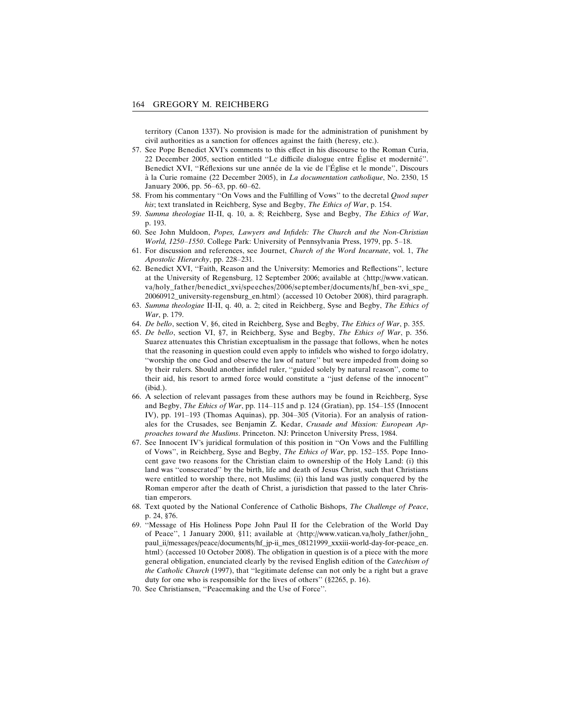territory (Canon 1337). No provision is made for the administration of punishment by civil authorities as a sanction for offences against the faith (heresy, etc.).

- 57. See Pope Benedict XVI's comments to this effect in his discourse to the Roman Curia, 22 December 2005, section entitled "Le difficile dialogue entre Église et modernité". Benedict XVI, "Réflexions sur une année de la vie de l'Église et le monde", Discours à la Curie romaine (22 December 2005), in La documentation catholique, No. 2350, 15 January 2006, pp. 56–63, pp. 60–62.
- 58. From his commentary "On Vows and the Fulfilling of Vows" to the decretal Quod super his; text translated in Reichberg, Syse and Begby, The Ethics of War, p. 154.
- 59. Summa theologiae II-II, q. 10, a. 8; Reichberg, Syse and Begby, The Ethics of War, p. 193.
- 60. See John Muldoon, Popes, Lawyers and Infidels: The Church and the Non-Christian World, 1250–1550. College Park: University of Pennsylvania Press, 1979, pp. 5–18.
- 61. For discussion and references, see Journet, Church of the Word Incarnate, vol. 1, The Apostolic Hierarchy, pp. 228–231.
- 62. Benedict XVI, ''Faith, Reason and the University: Memories and Reflections'', lecture at the University of Regensburg, 12 September 2006; available at  $\langle$ http://www.vatican. va/holy\_father/benedict\_xvi/speeches/2006/september/documents/hf\_ben-xvi\_spe\_ 20060912\_university-regensburg\_en.html> (accessed 10 October 2008), third paragraph.
- 63. Summa theologiae II-II, q. 40, a. 2; cited in Reichberg, Syse and Begby, The Ethics of War, p. 179.
- 64. De bello, section V, §6, cited in Reichberg, Syse and Begby, The Ethics of War, p. 355.
- 65. De bello, section VI, §7, in Reichberg, Syse and Begby, The Ethics of War, p. 356. Suarez attenuates this Christian exceptualism in the passage that follows, when he notes that the reasoning in question could even apply to infidels who wished to forgo idolatry, ''worship the one God and observe the law of nature'' but were impeded from doing so by their rulers. Should another infidel ruler, ''guided solely by natural reason'', come to their aid, his resort to armed force would constitute a ''just defense of the innocent'' (ibid.).
- 66. A selection of relevant passages from these authors may be found in Reichberg, Syse and Begby, The Ethics of War, pp. 114–115 and p. 124 (Gratian), pp. 154–155 (Innocent IV), pp. 191–193 (Thomas Aquinas), pp. 304–305 (Vitoria). For an analysis of rationales for the Crusades, see Benjamin Z. Kedar, Crusade and Mission: European Approaches toward the Muslims. Princeton. NJ: Princeton University Press, 1984.
- 67. See Innocent IV's juridical formulation of this position in ''On Vows and the Fulfilling of Vows'', in Reichberg, Syse and Begby, The Ethics of War, pp. 152–155. Pope Innocent gave two reasons for the Christian claim to ownership of the Holy Land: (i) this land was ''consecrated'' by the birth, life and death of Jesus Christ, such that Christians were entitled to worship there, not Muslims; (ii) this land was justly conquered by the Roman emperor after the death of Christ, a jurisdiction that passed to the later Christian emperors.
- 68. Text quoted by the National Conference of Catholic Bishops, The Challenge of Peace, p. 24, §76.
- 69. ''Message of His Holiness Pope John Paul II for the Celebration of the World Day of Peace", 1 January 2000, §11; available at  $\langle \text{http://www.vatican.va/holy_father/john_f1} \rangle$ paul\_ii/messages/peace/documents/hf\_jp-ii\_mes\_08121999\_xxxiii-world-day-for-peace\_en. html $\rangle$  (accessed 10 October 2008). The obligation in question is of a piece with the more general obligation, enunciated clearly by the revised English edition of the Catechism of the Catholic Church (1997), that ''legitimate defense can not only be a right but a grave duty for one who is responsible for the lives of others'' (§2265, p. 16).
- 70. See Christiansen, ''Peacemaking and the Use of Force''.